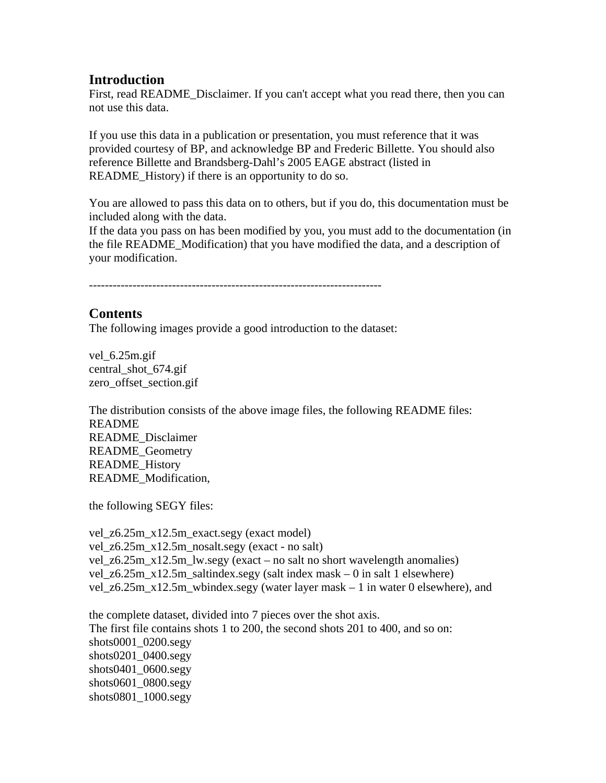# **Introduction**

First, read README\_Disclaimer. If you can't accept what you read there, then you can not use this data.

If you use this data in a publication or presentation, you must reference that it was provided courtesy of BP, and acknowledge BP and Frederic Billette. You should also reference Billette and Brandsberg-Dahl's 2005 EAGE abstract (listed in README\_History) if there is an opportunity to do so.

You are allowed to pass this data on to others, but if you do, this documentation must be included along with the data.

If the data you pass on has been modified by you, you must add to the documentation (in the file README\_Modification) that you have modified the data, and a description of your modification.

--------------------------------------------------------------------------

# **Contents**

The following images provide a good introduction to the dataset:

vel 6.25m.gif central\_shot\_674.gif zero\_offset\_section.gif

The distribution consists of the above image files, the following README files: README README\_Disclaimer README\_Geometry README\_History README\_Modification,

the following SEGY files:

vel\_z6.25m\_x12.5m\_exact.segy (exact model) vel\_z6.25m\_x12.5m\_nosalt.segy (exact - no salt) vel  $z$ 6.25m  $x$ 12.5m lw.segy (exact – no salt no short wavelength anomalies) vel\_z6.25m\_x12.5m\_saltindex.segy (salt index mask – 0 in salt 1 elsewhere) vel\_z6.25m\_x12.5m\_wbindex.segy (water layer mask  $-1$  in water 0 elsewhere), and

the complete dataset, divided into 7 pieces over the shot axis. The first file contains shots 1 to 200, the second shots 201 to 400, and so on: shots0001\_0200.segy shots0201\_0400.segy shots0401\_0600.segy shots0601\_0800.segy shots0801\_1000.segy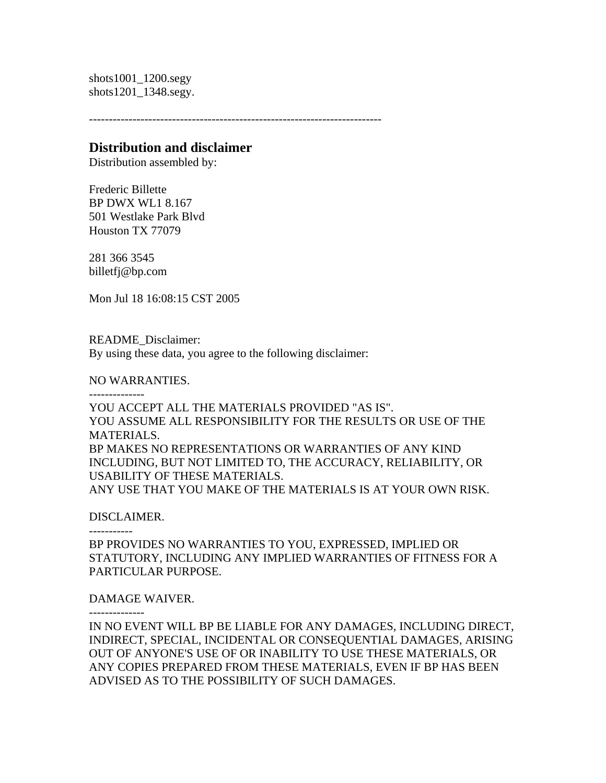shots1001\_1200.segy shots1201\_1348.segy.

--------------------------------------------------------------------------

## **Distribution and disclaimer**

Distribution assembled by:

Frederic Billette BP DWX WL1 8.167 501 Westlake Park Blvd Houston TX 77079

281 366 3545 billetfj@bp.com

Mon Jul 18 16:08:15 CST 2005

README\_Disclaimer: By using these data, you agree to the following disclaimer:

NO WARRANTIES.

--------------

YOU ACCEPT ALL THE MATERIALS PROVIDED "AS IS". YOU ASSUME ALL RESPONSIBILITY FOR THE RESULTS OR USE OF THE MATERIALS. BP MAKES NO REPRESENTATIONS OR WARRANTIES OF ANY KIND INCLUDING, BUT NOT LIMITED TO, THE ACCURACY, RELIABILITY, OR USABILITY OF THESE MATERIALS. ANY USE THAT YOU MAKE OF THE MATERIALS IS AT YOUR OWN RISK.

#### DISCLAIMER.

-----------

BP PROVIDES NO WARRANTIES TO YOU, EXPRESSED, IMPLIED OR STATUTORY, INCLUDING ANY IMPLIED WARRANTIES OF FITNESS FOR A PARTICULAR PURPOSE.

### DAMAGE WAIVER.

--------------

IN NO EVENT WILL BP BE LIABLE FOR ANY DAMAGES, INCLUDING DIRECT, INDIRECT, SPECIAL, INCIDENTAL OR CONSEQUENTIAL DAMAGES, ARISING OUT OF ANYONE'S USE OF OR INABILITY TO USE THESE MATERIALS, OR ANY COPIES PREPARED FROM THESE MATERIALS, EVEN IF BP HAS BEEN ADVISED AS TO THE POSSIBILITY OF SUCH DAMAGES.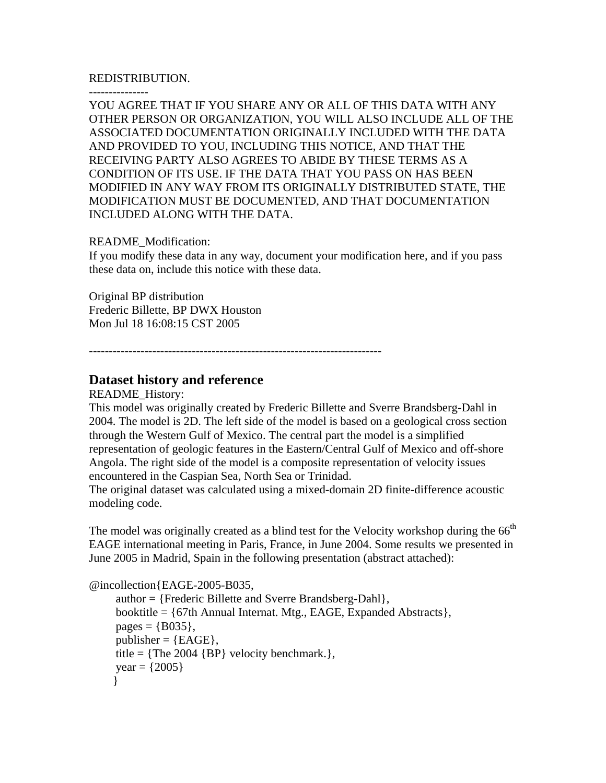#### REDISTRIBUTION.

---------------

YOU AGREE THAT IF YOU SHARE ANY OR ALL OF THIS DATA WITH ANY OTHER PERSON OR ORGANIZATION, YOU WILL ALSO INCLUDE ALL OF THE ASSOCIATED DOCUMENTATION ORIGINALLY INCLUDED WITH THE DATA AND PROVIDED TO YOU, INCLUDING THIS NOTICE, AND THAT THE RECEIVING PARTY ALSO AGREES TO ABIDE BY THESE TERMS AS A CONDITION OF ITS USE. IF THE DATA THAT YOU PASS ON HAS BEEN MODIFIED IN ANY WAY FROM ITS ORIGINALLY DISTRIBUTED STATE, THE MODIFICATION MUST BE DOCUMENTED, AND THAT DOCUMENTATION INCLUDED ALONG WITH THE DATA.

#### README\_Modification:

If you modify these data in any way, document your modification here, and if you pass these data on, include this notice with these data.

Original BP distribution Frederic Billette, BP DWX Houston Mon Jul 18 16:08:15 CST 2005

--------------------------------------------------------------------------

# **Dataset history and reference**

README\_History:

This model was originally created by Frederic Billette and Sverre Brandsberg-Dahl in 2004. The model is 2D. The left side of the model is based on a geological cross section through the Western Gulf of Mexico. The central part the model is a simplified representation of geologic features in the Eastern/Central Gulf of Mexico and off-shore Angola. The right side of the model is a composite representation of velocity issues encountered in the Caspian Sea, North Sea or Trinidad.

The original dataset was calculated using a mixed-domain 2D finite-difference acoustic modeling code.

The model was originally created as a blind test for the Velocity workshop during the 66<sup>th</sup> EAGE international meeting in Paris, France, in June 2004. Some results we presented in June 2005 in Madrid, Spain in the following presentation (abstract attached):

```
@incollection{EAGE-2005-B035, 
 author = {Frederic Billette and Sverre Brandsberg-Dahl}, 
 booktitle = {67th Annual Internat. Mtg., EAGE, Expanded Abstracts}, 
pages = {B035}.
publisher = {EAGE},
title = {The 2004 {BP} velocity benchmark.}year = {2005} }
```